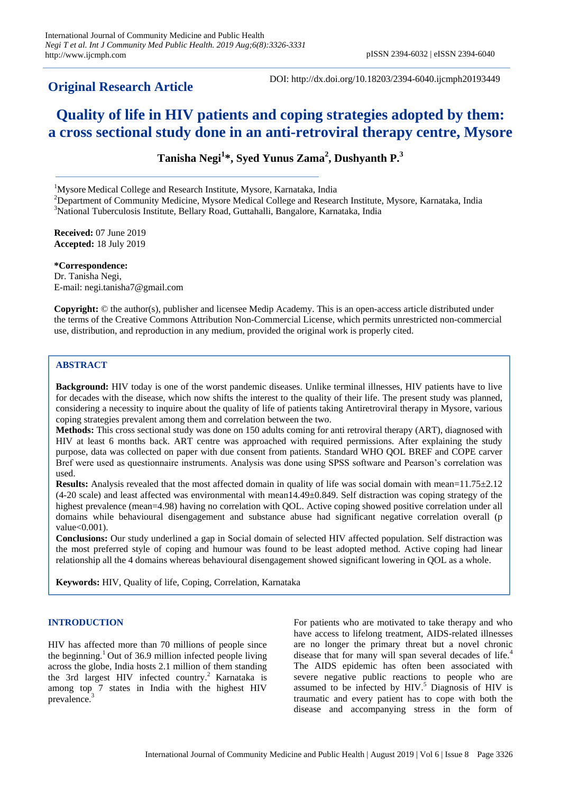# **Original Research Article**

# **Quality of life in HIV patients and coping strategies adopted by them: a cross sectional study done in an anti-retroviral therapy centre, Mysore**

**Tanisha Negi<sup>1</sup> \*, Syed Yunus Zama<sup>2</sup> , Dushyanth P. 3**

<sup>1</sup>Mysore Medical College and Research Institute, Mysore, Karnataka, India

 $2D$ epartment of Community Medicine, Mysore Medical College and Research Institute, Mysore, Karnataka, India <sup>3</sup>National Tuberculosis Institute, Bellary Road, Guttahalli, Bangalore, Karnataka, India

**Received:** 07 June 2019 **Accepted:** 18 July 2019

**\*Correspondence:** Dr. Tanisha Negi, E-mail: negi.tanisha7@gmail.com

**Copyright:** © the author(s), publisher and licensee Medip Academy. This is an open-access article distributed under the terms of the Creative Commons Attribution Non-Commercial License, which permits unrestricted non-commercial use, distribution, and reproduction in any medium, provided the original work is properly cited.

# **ABSTRACT**

**Background:** HIV today is one of the worst pandemic diseases. Unlike terminal illnesses, HIV patients have to live for decades with the disease, which now shifts the interest to the quality of their life. The present study was planned, considering a necessity to inquire about the quality of life of patients taking Antiretroviral therapy in Mysore, various coping strategies prevalent among them and correlation between the two.

**Methods:** This cross sectional study was done on 150 adults coming for anti retroviral therapy (ART), diagnosed with HIV at least 6 months back. ART centre was approached with required permissions. After explaining the study purpose, data was collected on paper with due consent from patients. Standard WHO QOL BREF and COPE carver Bref were used as questionnaire instruments. Analysis was done using SPSS software and Pearson's correlation was used.

**Results:** Analysis revealed that the most affected domain in quality of life was social domain with mean=11.75±2.12 (4-20 scale) and least affected was environmental with mean14.49±0.849. Self distraction was coping strategy of the highest prevalence (mean=4.98) having no correlation with QOL. Active coping showed positive correlation under all domains while behavioural disengagement and substance abuse had significant negative correlation overall (p value<0.001).

**Conclusions:** Our study underlined a gap in Social domain of selected HIV affected population. Self distraction was the most preferred style of coping and humour was found to be least adopted method. Active coping had linear relationship all the 4 domains whereas behavioural disengagement showed significant lowering in QOL as a whole.

**Keywords:** HIV, Quality of life, Coping, Correlation, Karnataka

# **INTRODUCTION**

HIV has affected more than 70 millions of people since the beginning.<sup>1</sup> Out of 36.9 million infected people living across the globe, India hosts 2.1 million of them standing the 3rd largest HIV infected country.<sup>2</sup> Karnataka is among top 7 states in India with the highest HIV prevalence.<sup>3</sup>

For patients who are motivated to take therapy and who have access to lifelong treatment, AIDS-related illnesses are no longer the primary threat but a novel chronic disease that for many will span several decades of life.<sup>4</sup> The AIDS epidemic has often been associated with severe negative public reactions to people who are assumed to be infected by  $HIV$ .<sup>5</sup> Diagnosis of  $HIV$  is traumatic and every patient has to cope with both the disease and accompanying stress in the form of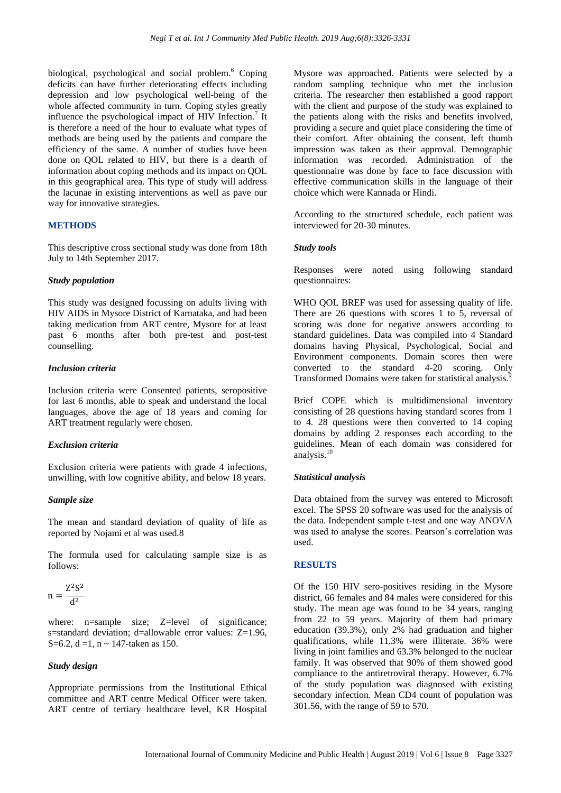biological, psychological and social problem.<sup>6</sup> Coping deficits can have further deteriorating effects including depression and low psychological well-being of the whole affected community in turn. Coping styles greatly influence the psychological impact of  $HIV$  Infection.<sup>7</sup> It is therefore a need of the hour to evaluate what types of methods are being used by the patients and compare the efficiency of the same. A number of studies have been done on QOL related to HIV, but there is a dearth of information about coping methods and its impact on QOL in this geographical area. This type of study will address the lacunae in existing interventions as well as pave our way for innovative strategies.

# **METHODS**

This descriptive cross sectional study was done from 18th July to 14th September 2017.

#### *Study population*

This study was designed focussing on adults living with HIV AIDS in Mysore District of Karnataka, and had been taking medication from ART centre, Mysore for at least past 6 months after both pre-test and post-test counselling.

#### *Inclusion criteria*

Inclusion criteria were Consented patients, seropositive for last 6 months, able to speak and understand the local languages, above the age of 18 years and coming for ART treatment regularly were chosen.

#### *Exclusion criteria*

Exclusion criteria were patients with grade 4 infections, unwilling, with low cognitive ability, and below 18 years.

#### *Sample size*

The mean and standard deviation of quality of life as reported by Nojami et al was used.8

The formula used for calculating sample size is as follows:

$$
n = \frac{Z^2 S^2}{d^2}
$$

where: n=sample size; Z=level of significance; s=standard deviation; d=allowable error values: Z=1.96, S=6.2, d =1, n  $\sim$  147-taken as 150.

#### *Study design*

Appropriate permissions from the Institutional Ethical committee and ART centre Medical Officer were taken. ART centre of tertiary healthcare level, KR Hospital Mysore was approached. Patients were selected by a random sampling technique who met the inclusion criteria. The researcher then established a good rapport with the client and purpose of the study was explained to the patients along with the risks and benefits involved, providing a secure and quiet place considering the time of their comfort. After obtaining the consent, left thumb impression was taken as their approval. Demographic information was recorded. Administration of the questionnaire was done by face to face discussion with effective communication skills in the language of their choice which were Kannada or Hindi.

According to the structured schedule, each patient was interviewed for 20-30 minutes.

#### *Study tools*

Responses were noted using following standard questionnaires:

WHO QOL BREF was used for assessing quality of life. There are 26 questions with scores 1 to 5, reversal of scoring was done for negative answers according to standard guidelines. Data was compiled into 4 Standard domains having Physical, Psychological, Social and Environment components. Domain scores then were converted to the standard 4-20 scoring. Only Transformed Domains were taken for statistical analysis.<sup>9</sup>

Brief COPE which is multidimensional inventory consisting of 28 questions having standard scores from 1 to 4. 28 questions were then converted to 14 coping domains by adding 2 responses each according to the guidelines. Mean of each domain was considered for analysis.<sup>10</sup>

#### *Statistical analysis*

Data obtained from the survey was entered to Microsoft excel. The SPSS 20 software was used for the analysis of the data. Independent sample t-test and one way ANOVA was used to analyse the scores. Pearson's correlation was used.

# **RESULTS**

Of the 150 HIV sero-positives residing in the Mysore district, 66 females and 84 males were considered for this study. The mean age was found to be 34 years, ranging from 22 to 59 years. Majority of them had primary education (39.3%), only 2% had graduation and higher qualifications, while 11.3% were illiterate. 36% were living in joint families and 63.3% belonged to the nuclear family. It was observed that 90% of them showed good compliance to the antiretroviral therapy. However, 6.7% of the study population was diagnosed with existing secondary infection. Mean CD4 count of population was 301.56, with the range of 59 to 570.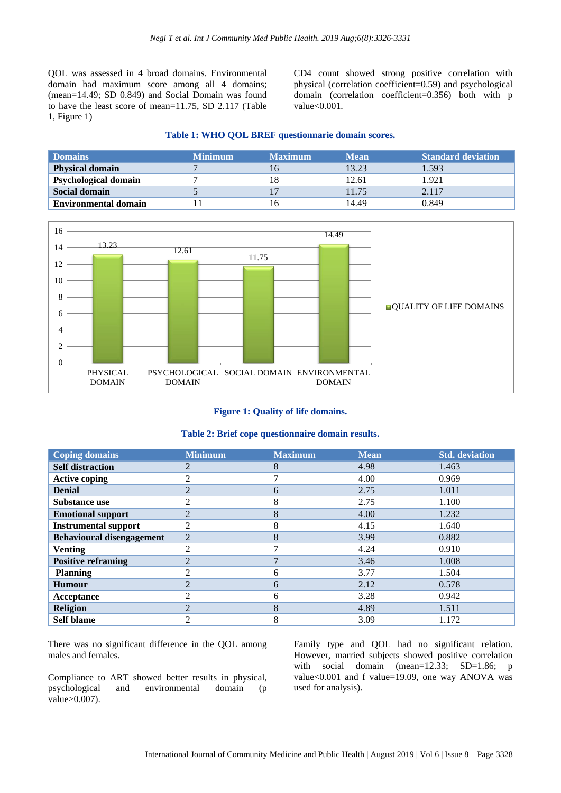QOL was assessed in 4 broad domains. Environmental domain had maximum score among all 4 domains; (mean=14.49; SD 0.849) and Social Domain was found to have the least score of mean=11.75, SD 2.117 (Table 1, Figure 1)

CD4 count showed strong positive correlation with physical (correlation coefficient=0.59) and psychological domain (correlation coefficient=0.356) both with p value<0.001.

# **Table 1: WHO QOL BREF questionnarie domain scores.**

| <b>Domains</b>              | <b>Minimum</b> | <b>Maximum</b> | <b>Mean</b> | <b>Standard deviation</b> |  |  |
|-----------------------------|----------------|----------------|-------------|---------------------------|--|--|
| <b>Physical domain</b>      |                | 16             | 13.23       | 1.593                     |  |  |
| <b>Psychological domain</b> |                | 18             | 12.61       | 1.921                     |  |  |
| <b>Social domain</b>        |                |                | 11.75       | 2.117                     |  |  |
| <b>Environmental domain</b> |                | 16             | 14.49       | 0.849                     |  |  |



#### **Figure 1: Quality of life domains.**

#### **Table 2: Brief cope questionnaire domain results.**

| <b>Coping domains</b>            | <b>Minimum</b> | <b>Maximum</b> | <b>Mean</b> | <b>Std.</b> deviation |  |
|----------------------------------|----------------|----------------|-------------|-----------------------|--|
| <b>Self distraction</b>          | $\overline{c}$ | 8              | 4.98        | 1.463                 |  |
| <b>Active coping</b>             | $\overline{2}$ | ⇁              | 4.00        | 0.969                 |  |
| <b>Denial</b>                    | $\overline{2}$ | 6              | 2.75        | 1.011                 |  |
| <b>Substance use</b>             | 2              | 8              | 2.75        | 1.100                 |  |
| <b>Emotional support</b>         | $\overline{2}$ | 8              | 4.00        | 1.232                 |  |
| <b>Instrumental support</b>      | $\overline{2}$ | 8              | 4.15        | 1.640                 |  |
| <b>Behavioural disengagement</b> | $\overline{2}$ | 8              | 3.99        | 0.882                 |  |
| <b>Venting</b>                   | $\overline{2}$ | 7              | 4.24        | 0.910                 |  |
| <b>Positive reframing</b>        | $\overline{2}$ | $\mathbf{r}$   | 3.46        | 1.008                 |  |
| <b>Planning</b>                  | 2              | 6              | 3.77        | 1.504                 |  |
| <b>Humour</b>                    | $\overline{2}$ | 6              | 2.12        | 0.578                 |  |
| Acceptance                       | $\overline{2}$ | 6              | 3.28        | 0.942                 |  |
| <b>Religion</b>                  | $\overline{2}$ | 8              | 4.89        | 1.511                 |  |
| <b>Self blame</b>                | $\mathfrak{D}$ | 8              | 3.09        | 1.172                 |  |

There was no significant difference in the QOL among males and females.

Compliance to ART showed better results in physical, psychological and environmental domain (p value>0.007).

Family type and QOL had no significant relation. However, married subjects showed positive correlation with social domain (mean=12.33; SD=1.86; p value<0.001 and f value=19.09, one way ANOVA was used for analysis).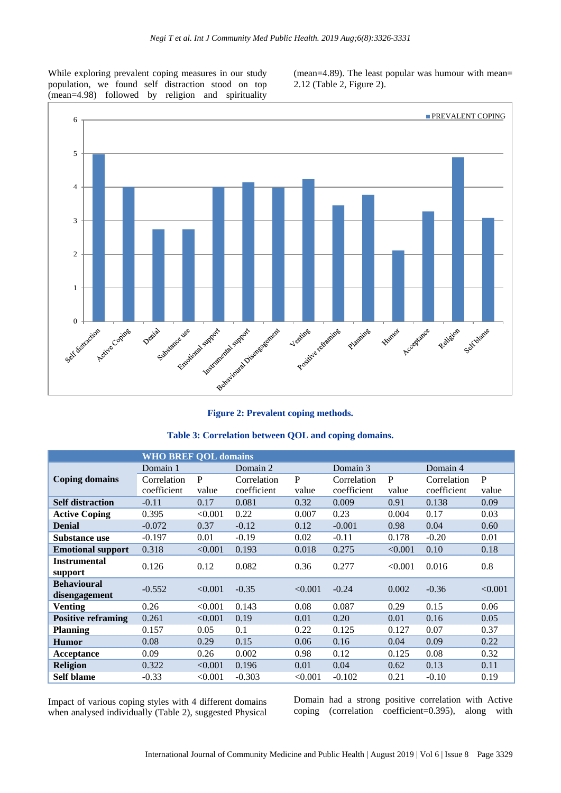While exploring prevalent coping measures in our study population, we found self distraction stood on top (mean=4.98) followed by religion and spirituality (mean=4.89). The least popular was humour with mean= 2.12 (Table 2, Figure 2).



# **Figure 2: Prevalent coping methods.**

|  |  | Table 3: Correlation between QOL and coping domains. |  |  |  |  |  |
|--|--|------------------------------------------------------|--|--|--|--|--|
|--|--|------------------------------------------------------|--|--|--|--|--|

| <b>WHO BREF QOL domains</b> |             |         |             |         |             |         |             |         |
|-----------------------------|-------------|---------|-------------|---------|-------------|---------|-------------|---------|
|                             | Domain 1    |         | Domain 2    |         | Domain 3    |         | Domain 4    |         |
| <b>Coping domains</b>       | Correlation | P       | Correlation | P       | Correlation | P       | Correlation | P       |
|                             | coefficient | value   | coefficient | value   | coefficient | value   | coefficient | value   |
| <b>Self distraction</b>     | $-0.11$     | 0.17    | 0.081       | 0.32    | 0.009       | 0.91    | 0.138       | 0.09    |
| <b>Active Coping</b>        | 0.395       | < 0.001 | 0.22        | 0.007   | 0.23        | 0.004   | 0.17        | 0.03    |
| <b>Denial</b>               | $-0.072$    | 0.37    | $-0.12$     | 0.12    | $-0.001$    | 0.98    | 0.04        | 0.60    |
| <b>Substance use</b>        | $-0.197$    | 0.01    | $-0.19$     | 0.02    | $-0.11$     | 0.178   | $-0.20$     | 0.01    |
| <b>Emotional support</b>    | 0.318       | < 0.001 | 0.193       | 0.018   | 0.275       | < 0.001 | 0.10        | 0.18    |
| <b>Instrumental</b>         | 0.126       | 0.12    | 0.082       | 0.36    | 0.277       | < 0.001 | 0.016       | 0.8     |
| support                     |             |         |             |         |             |         |             |         |
| <b>Behavioural</b>          | $-0.552$    | < 0.001 | $-0.35$     | < 0.001 | $-0.24$     | 0.002   | $-0.36$     | < 0.001 |
| disengagement               |             |         |             |         |             |         |             |         |
| <b>Venting</b>              | 0.26        | < 0.001 | 0.143       | 0.08    | 0.087       | 0.29    | 0.15        | 0.06    |
| <b>Positive reframing</b>   | 0.261       | < 0.001 | 0.19        | 0.01    | 0.20        | 0.01    | 0.16        | 0.05    |
| <b>Planning</b>             | 0.157       | 0.05    | 0.1         | 0.22    | 0.125       | 0.127   | 0.07        | 0.37    |
| <b>Humor</b>                | 0.08        | 0.29    | 0.15        | 0.06    | 0.16        | 0.04    | 0.09        | 0.22    |
| Acceptance                  | 0.09        | 0.26    | 0.002       | 0.98    | 0.12        | 0.125   | 0.08        | 0.32    |
| <b>Religion</b>             | 0.322       | < 0.001 | 0.196       | 0.01    | 0.04        | 0.62    | 0.13        | 0.11    |
| <b>Self blame</b>           | $-0.33$     | < 0.001 | $-0.303$    | < 0.001 | $-0.102$    | 0.21    | $-0.10$     | 0.19    |

Impact of various coping styles with 4 different domains when analysed individually (Table 2), suggested Physical Domain had a strong positive correlation with Active coping (correlation coefficient=0.395), along with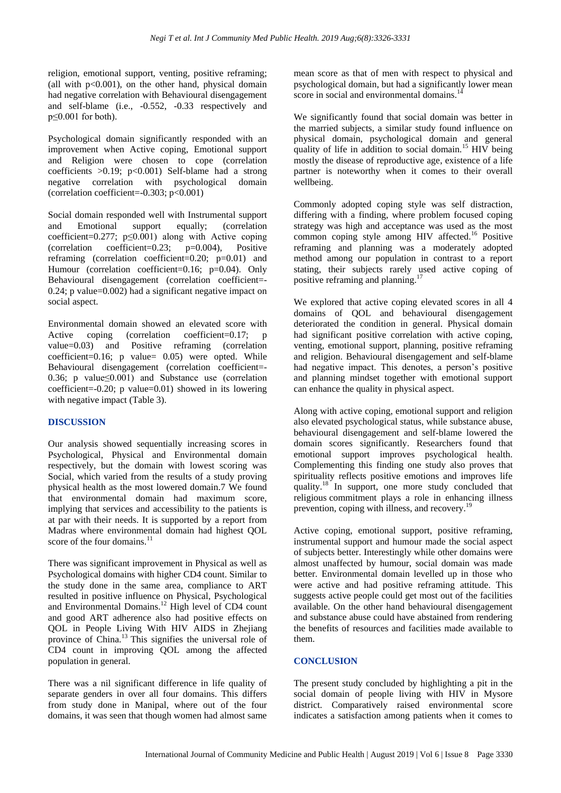religion, emotional support, venting, positive reframing; (all with  $p<0.001$ ), on the other hand, physical domain had negative correlation with Behavioural disengagement and self-blame (i.e., -0.552, -0.33 respectively and  $p \leq 0.001$  for both).

Psychological domain significantly responded with an improvement when Active coping, Emotional support and Religion were chosen to cope (correlation coefficients  $>0.19$ ; p<0.001) Self-blame had a strong negative correlation with psychological domain (correlation coefficient=-0.303; p<0.001)

Social domain responded well with Instrumental support and Emotional support equally; (correlation coefficient=0.277; p≤0.001) along with Active coping (correlation coefficient=0.23; p=0.004), Positive reframing (correlation coefficient=0.20; p=0.01) and Humour (correlation coefficient=0.16; p=0.04). Only Behavioural disengagement (correlation coefficient=- 0.24; p value=0.002) had a significant negative impact on social aspect.

Environmental domain showed an elevated score with Active coping (correlation coefficient=0.17; p value=0.03) and Positive reframing (correlation coefficient=0.16; p value= 0.05) were opted. While Behavioural disengagement (correlation coefficient=- 0.36; p value≤0.001) and Substance use (correlation coefficient=-0.20; p value=0.01) showed in its lowering with negative impact (Table 3).

# **DISCUSSION**

Our analysis showed sequentially increasing scores in Psychological, Physical and Environmental domain respectively, but the domain with lowest scoring was Social, which varied from the results of a study proving physical health as the most lowered domain.7 We found that environmental domain had maximum score, implying that services and accessibility to the patients is at par with their needs. It is supported by a report from Madras where environmental domain had highest QOL score of the four domains.<sup>11</sup>

There was significant improvement in Physical as well as Psychological domains with higher CD4 count. Similar to the study done in the same area, compliance to ART resulted in positive influence on Physical, Psychological and Environmental Domains.<sup>12</sup> High level of CD4 count and good ART adherence also had positive effects on QOL in People Living With HIV AIDS in Zhejiang province of China.<sup>13</sup> This signifies the universal role of CD4 count in improving QOL among the affected population in general.

There was a nil significant difference in life quality of separate genders in over all four domains. This differs from study done in Manipal, where out of the four domains, it was seen that though women had almost same mean score as that of men with respect to physical and psychological domain, but had a significantly lower mean score in social and environmental domains.<sup>14</sup>

We significantly found that social domain was better in the married subjects, a similar study found influence on physical domain, psychological domain and general quality of life in addition to social domain.<sup>15</sup> HIV being mostly the disease of reproductive age, existence of a life partner is noteworthy when it comes to their overall wellbeing.

Commonly adopted coping style was self distraction, differing with a finding, where problem focused coping strategy was high and acceptance was used as the most common coping style among HIV affected.<sup>16</sup> Positive reframing and planning was a moderately adopted method among our population in contrast to a report stating, their subjects rarely used active coping of positive reframing and planning.<sup>17</sup>

We explored that active coping elevated scores in all 4 domains of QOL and behavioural disengagement deteriorated the condition in general. Physical domain had significant positive correlation with active coping, venting, emotional support, planning, positive reframing and religion. Behavioural disengagement and self-blame had negative impact. This denotes, a person's positive and planning mindset together with emotional support can enhance the quality in physical aspect.

Along with active coping, emotional support and religion also elevated psychological status, while substance abuse, behavioural disengagement and self-blame lowered the domain scores significantly. Researchers found that emotional support improves psychological health. Complementing this finding one study also proves that spirituality reflects positive emotions and improves life quality.<sup>18</sup> In support, one more study concluded that religious commitment plays a role in enhancing illness prevention, coping with illness, and recovery.<sup>19</sup>

Active coping, emotional support, positive reframing, instrumental support and humour made the social aspect of subjects better. Interestingly while other domains were almost unaffected by humour, social domain was made better. Environmental domain levelled up in those who were active and had positive reframing attitude. This suggests active people could get most out of the facilities available. On the other hand behavioural disengagement and substance abuse could have abstained from rendering the benefits of resources and facilities made available to them.

# **CONCLUSION**

The present study concluded by highlighting a pit in the social domain of people living with HIV in Mysore district. Comparatively raised environmental score indicates a satisfaction among patients when it comes to